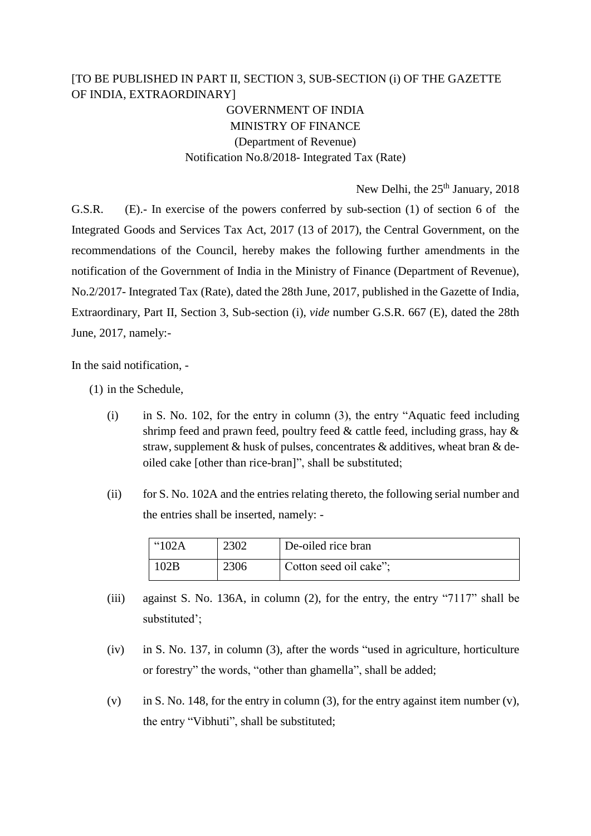## [TO BE PUBLISHED IN PART II, SECTION 3, SUB-SECTION (i) OF THE GAZETTE OF INDIA, EXTRAORDINARY]

GOVERNMENT OF INDIA MINISTRY OF FINANCE (Department of Revenue) Notification No.8/2018- Integrated Tax (Rate)

New Delhi, the  $25<sup>th</sup>$  January, 2018

G.S.R. (E).- In exercise of the powers conferred by sub-section (1) of section 6 of the Integrated Goods and Services Tax Act, 2017 (13 of 2017), the Central Government, on the recommendations of the Council, hereby makes the following further amendments in the notification of the Government of India in the Ministry of Finance (Department of Revenue), No.2/2017- Integrated Tax (Rate), dated the 28th June, 2017, published in the Gazette of India, Extraordinary, Part II, Section 3, Sub-section (i), *vide* number G.S.R. 667 (E), dated the 28th June, 2017, namely:-

In the said notification, -

(1) in the Schedule,

- (i) in S. No. 102, for the entry in column (3), the entry "Aquatic feed including shrimp feed and prawn feed, poultry feed  $\&$  cattle feed, including grass, hay  $\&$ straw, supplement  $\&$  husk of pulses, concentrates  $\&$  additives, wheat bran  $\&$  deoiled cake [other than rice-bran]", shall be substituted;
- (ii) for S. No. 102A and the entries relating thereto, the following serial number and the entries shall be inserted, namely: -

| $^{\circ}102A$ | 2302 | De-oiled rice bran     |
|----------------|------|------------------------|
| 02B            | 2306 | Cotton seed oil cake"; |

- (iii) against S. No. 136A, in column (2), for the entry, the entry "7117" shall be substituted';
- (iv) in S. No. 137, in column (3), after the words "used in agriculture, horticulture or forestry" the words, "other than ghamella", shall be added;
- (v) in S. No. 148, for the entry in column (3), for the entry against item number (v), the entry "Vibhuti", shall be substituted;